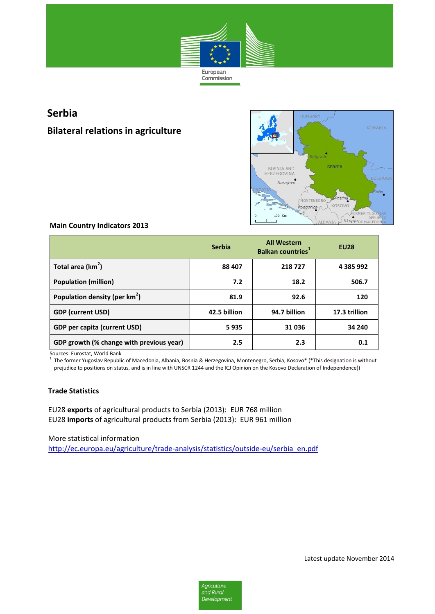

# **Serbia**

## **Bilateral relations in agriculture**



## **Main Country Indicators 2013**

|                                           | <b>Serbia</b> | <b>All Western</b><br><b>Balkan countries</b> <sup>1</sup> | <b>EU28</b>   |
|-------------------------------------------|---------------|------------------------------------------------------------|---------------|
| Total area $(km^2)$                       | 88 407        | 218727                                                     | 4 385 992     |
| <b>Population (million)</b>               | 7.2           | 18.2                                                       | 506.7         |
| Population density (per km <sup>2</sup> ) | 81.9          | 92.6                                                       | 120           |
| <b>GDP (current USD)</b>                  | 42.5 billion  | 94.7 billion                                               | 17.3 trillion |
| <b>GDP per capita (current USD)</b>       | 5935          | 31036                                                      | 34 240        |
| GDP growth (% change with previous year)  | $2.5\,$       | 2.3                                                        | 0.1           |

Sources: Eurostat, World Bank

1 The former Yugoslav Republic of Macedonia, Albania, Bosnia & Herzegovina, Montenegro, Serbia, Kosovo\* (\*This designation is without prejudice to positions on status, and is in line with UNSCR 1244 and the ICJ Opinion on the Kosovo Declaration of Independence))

## **Trade Statistics**

EU28 **exports** of agricultural products to Serbia (2013): EUR 768 million EU28 **imports** of agricultural products from Serbia (2013): EUR 961 million

More statistical information

[http://ec.europa.eu/agriculture/trade-analysis/statistics/outside-eu/serbia\\_en.pdf](http://ec.europa.eu/agriculture/trade-analysis/statistics/outside-eu/serbia_en.pdf)

Latest update November 2014